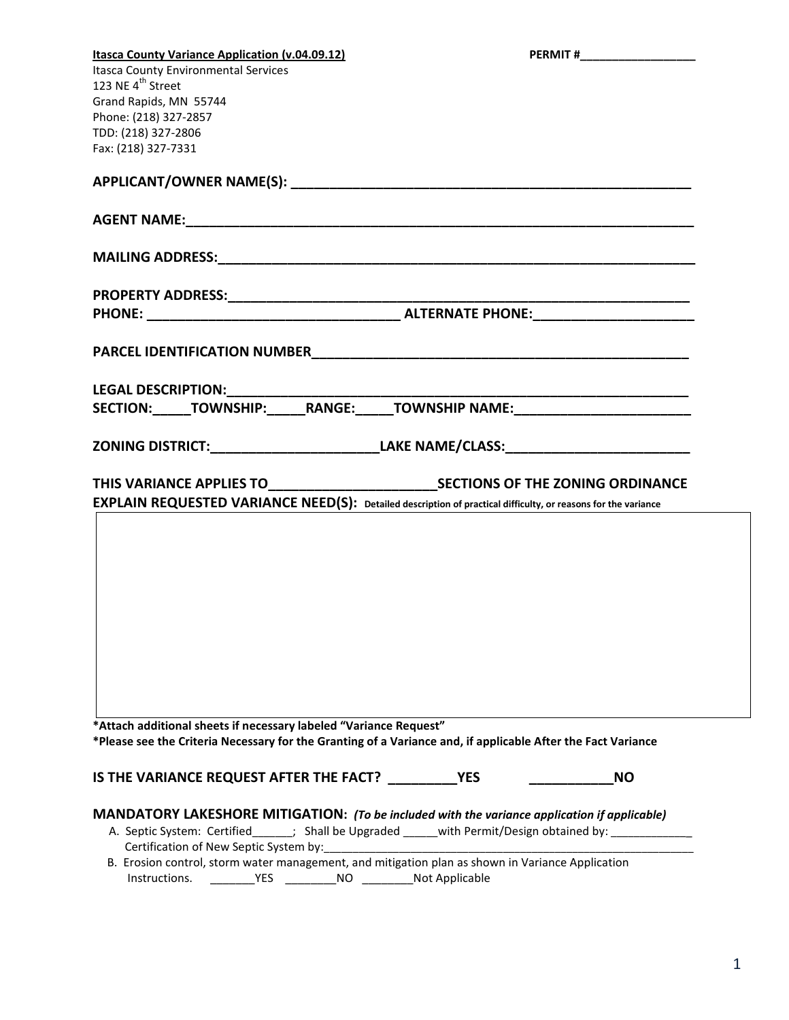| <b>Itasca County Variance Application (v.04.09.12)</b><br><b>Itasca County Environmental Services</b><br>123 NE 4 <sup>th</sup> Street<br>Grand Rapids, MN 55744<br>Phone: (218) 327-2857<br>TDD: (218) 327-2806<br>Fax: (218) 327-7331                                                                                                                                   | PERMIT #____________________ |  |
|---------------------------------------------------------------------------------------------------------------------------------------------------------------------------------------------------------------------------------------------------------------------------------------------------------------------------------------------------------------------------|------------------------------|--|
|                                                                                                                                                                                                                                                                                                                                                                           |                              |  |
|                                                                                                                                                                                                                                                                                                                                                                           |                              |  |
|                                                                                                                                                                                                                                                                                                                                                                           |                              |  |
|                                                                                                                                                                                                                                                                                                                                                                           |                              |  |
|                                                                                                                                                                                                                                                                                                                                                                           |                              |  |
|                                                                                                                                                                                                                                                                                                                                                                           |                              |  |
| LEGAL DESCRIPTION:_________________________                                                                                                                                                                                                                                                                                                                               |                              |  |
| SECTION:______TOWNSHIP:______RANGE:_____TOWNSHIP NAME:__________________________                                                                                                                                                                                                                                                                                          |                              |  |
| ZONING DISTRICT:________________________________LAKE NAME/CLASS:_________________                                                                                                                                                                                                                                                                                         |                              |  |
|                                                                                                                                                                                                                                                                                                                                                                           |                              |  |
| <b>EXPLAIN REQUESTED VARIANCE NEED(S):</b> Detailed description of practical difficulty, or reasons for the variance                                                                                                                                                                                                                                                      |                              |  |
|                                                                                                                                                                                                                                                                                                                                                                           |                              |  |
| *Attach additional sheets if necessary labeled "Variance Request"                                                                                                                                                                                                                                                                                                         |                              |  |
| *Please see the Criteria Necessary for the Granting of a Variance and, if applicable After the Fact Variance                                                                                                                                                                                                                                                              |                              |  |
| IS THE VARIANCE REQUEST AFTER THE FACT? YES                                                                                                                                                                                                                                                                                                                               | <b>NO</b>                    |  |
| <b>MANDATORY LAKESHORE MITIGATION:</b> (To be included with the variance application if applicable)<br>A. Septic System: Certified______; Shall be Upgraded _____with Permit/Design obtained by: _________<br>Certification of New Septic System by:<br>B. Erosion control, storm water management, and mitigation plan as shown in Variance Application<br>Instructions. |                              |  |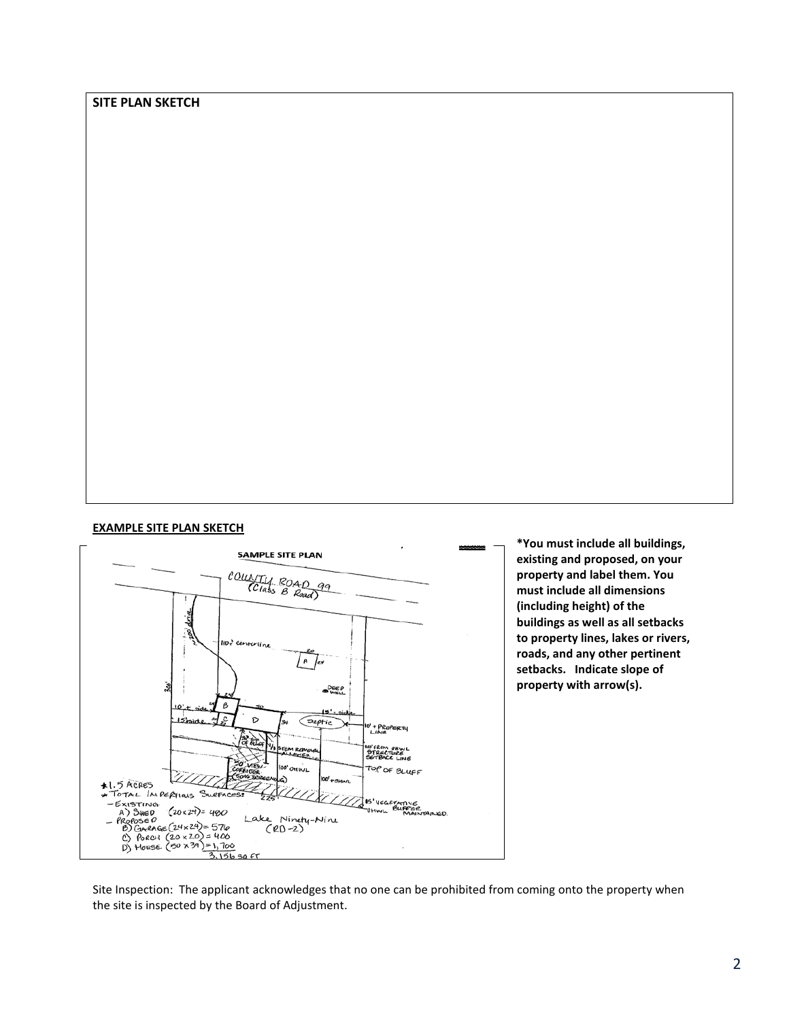## **SITE PLAN SKETCH**

## **EXAMPLE SITE PLAN SKETCH**



**\*You must include all buildings, existing and proposed, on your property and label them. You must include all dimensions (including height) of the buildings as well as all setbacks to property lines, lakes or rivers, roads, and any other pertinent setbacks. Indicate slope of property with arrow(s).**

Site Inspection: The applicant acknowledges that no one can be prohibited from coming onto the property when the site is inspected by the Board of Adjustment.